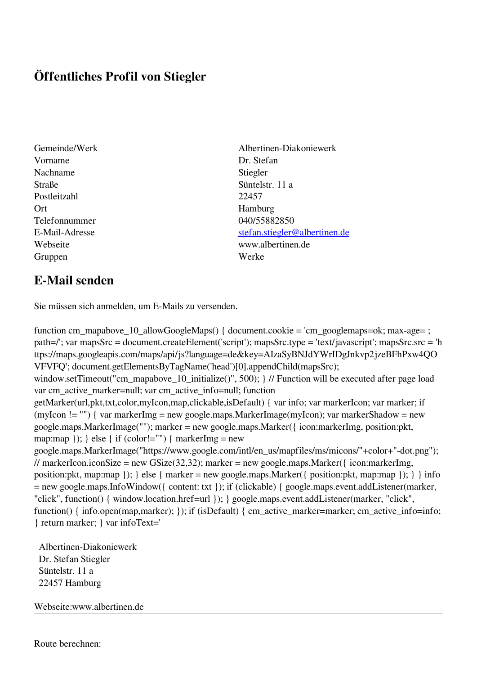## **Öffentliches Profil von Stiegler**

- Vorname Dr. Stefan Nachname Stiegler Straße Süntelstr. 11 a Postleitzahl 22457 Ort Hamburg Telefonnummer 040/55882850 Gruppen Werke
- Gemeinde/Werk Albertinen-Diakoniewerk E-Mail-Adresse [stefan.stiegler@albertinen.de](mailto:stefan.stiegler@albertinen.de) Webseite www.albertinen.de

## **E-Mail senden**

Sie müssen sich anmelden, um E-Mails zu versenden.

function cm\_mapabove\_10\_allowGoogleMaps() { document.cookie = 'cm\_googlemaps=ok; max-age= ; path=/'; var mapsSrc = document.createElement('script'); mapsSrc.type = 'text/javascript'; mapsSrc.src = 'h ttps://maps.googleapis.com/maps/api/js?language=de&key=AIzaSyBNJdYWrIDgJnkvp2jzeBFhPxw4QO VFVFQ'; document.getElementsByTagName('head')[0].appendChild(mapsSrc); window.setTimeout("cm\_mapabove\_10\_initialize()", 500); } // Function will be executed after page load var cm\_active\_marker=null; var cm\_active\_info=null; function getMarker(url,pkt,txt,color,myIcon,map,clickable,isDefault) { var info; var markerIcon; var marker; if (myIcon != "") { var markerImg = new google.maps.MarkerImage(myIcon); var markerShadow = new google.maps.MarkerImage(""); marker = new google.maps.Marker({ icon:markerImg, position:pkt, map:map  $\}$ ;  $\}$  else  $\{$  if (color!="")  $\{$  markerImg = new google.maps.MarkerImage("https://www.google.com/intl/en\_us/mapfiles/ms/micons/"+color+"-dot.png"); // markerIcon.iconSize = new GSize(32,32); marker = new google.maps.Marker({ $i$ con:markerImg, position:pkt, map:map }); } else { marker = new google.maps.Marker({ position:pkt, map:map }); } } info = new google.maps.InfoWindow({ content: txt }); if (clickable) { google.maps.event.addListener(marker, "click", function() { window.location.href=url }); } google.maps.event.addListener(marker, "click", function() { info.open(map,marker); }); if (isDefault) { cm\_active\_marker=marker; cm\_active\_info=info; } return marker; } var infoText='

 Albertinen-Diakoniewerk Dr. Stefan Stiegler Süntelstr. 11 a 22457 Hamburg

Webseite:www.albertinen.de